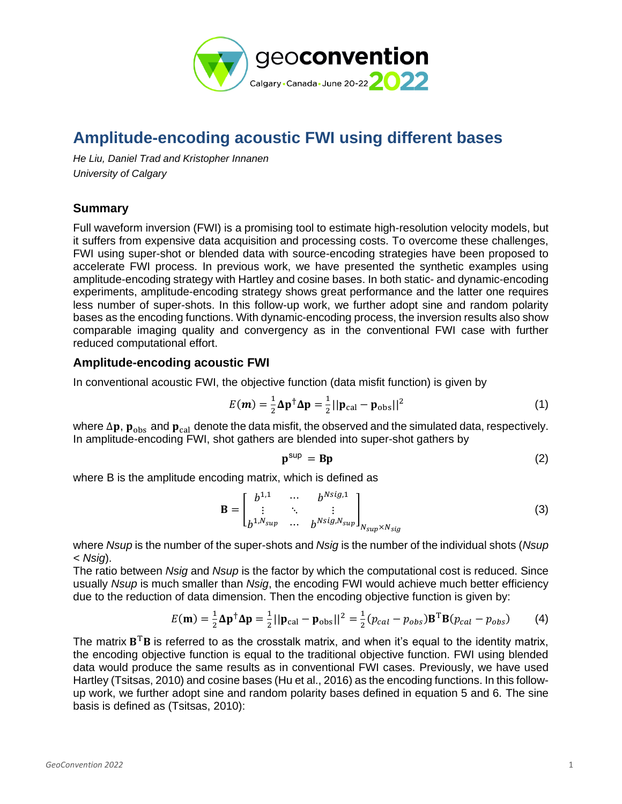

# **Amplitude-encoding acoustic FWI using different bases**

*He Liu, Daniel Trad and Kristopher Innanen University of Calgary*

# **Summary**

Full waveform inversion (FWI) is a promising tool to estimate high-resolution velocity models, but it suffers from expensive data acquisition and processing costs. To overcome these challenges, FWI using super-shot or blended data with source-encoding strategies have been proposed to accelerate FWI process. In previous work, we have presented the synthetic examples using amplitude-encoding strategy with Hartley and cosine bases. In both static- and dynamic-encoding experiments, amplitude-encoding strategy shows great performance and the latter one requires less number of super-shots. In this follow-up work, we further adopt sine and random polarity bases as the encoding functions. With dynamic-encoding process, the inversion results also show comparable imaging quality and convergency as in the conventional FWI case with further reduced computational effort.

## **Amplitude-encoding acoustic FWI**

In conventional acoustic FWI, the objective function (data misfit function) is given by

$$
E(\boldsymbol{m}) = \frac{1}{2}\Delta \mathbf{p}^{\dagger} \Delta \mathbf{p} = \frac{1}{2}||\mathbf{p}_{\text{cal}} - \mathbf{p}_{\text{obs}}||^2
$$
 (1)

where  $\Delta p$ ,  $p_{obs}$  and  $p_{cal}$  denote the data misfit, the observed and the simulated data, respectively. In amplitude-encoding FWI, shot gathers are blended into super-shot gathers by

$$
\mathbf{p}^{\text{sup}} = \mathbf{B}\mathbf{p} \tag{2}
$$

where B is the amplitude encoding matrix, which is defined as

$$
\mathbf{B} = \begin{bmatrix} b^{1,1} & \cdots & b^{Nsig,1} \\ \vdots & \ddots & \vdots \\ b^{1,N_{sup}} & \cdots & b^{Nsig,N_{sup}} \end{bmatrix}_{N_{sup} \times N_{sig}} \tag{3}
$$

where *Nsup* is the number of the super-shots and *Nsig* is the number of the individual shots (*Nsup < Nsig*).

The ratio between *Nsig* and *Nsup* is the factor by which the computational cost is reduced. Since usually *Nsup* is much smaller than *Nsig*, the encoding FWI would achieve much better efficiency due to the reduction of data dimension. Then the encoding objective function is given by:

$$
E(\mathbf{m}) = \frac{1}{2}\Delta \mathbf{p}^{\dagger} \Delta \mathbf{p} = \frac{1}{2}||\mathbf{p}_{\text{cal}} - \mathbf{p}_{\text{obs}}||^2 = \frac{1}{2}(p_{\text{cal}} - p_{\text{obs}})\mathbf{B}^{\text{T}}\mathbf{B}(p_{\text{cal}} - p_{\text{obs}})
$$
(4)

The matrix  $B^{T}B$  is referred to as the crosstalk matrix, and when it's equal to the identity matrix, the encoding objective function is equal to the traditional objective function. FWI using blended data would produce the same results as in conventional FWI cases. Previously, we have used Hartley (Tsitsas, 2010) and cosine bases (Hu et al., 2016) as the encoding functions. In this followup work, we further adopt sine and random polarity bases defined in equation 5 and 6. The sine basis is defined as (Tsitsas, 2010):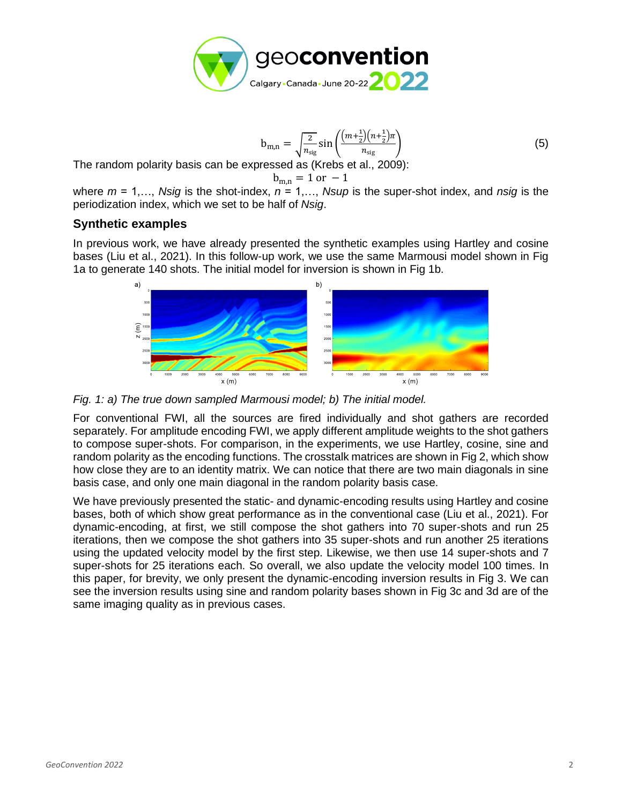

$$
b_{m,n} = \sqrt{\frac{2}{n_{sig}}} \sin\left(\frac{(m + \frac{1}{2})(n + \frac{1}{2})\pi}{n_{sig}}\right)
$$
(5)

The random polarity basis can be expressed as (Krebs et al., 2009):

$$
b_{m,n} = 1 \text{ or } -1
$$

where *m* = 1,…, *Nsig* is the shot-index, *n* = 1,…, *Nsup* is the super-shot index, and *nsig* is the periodization index, which we set to be half of *Nsig*.

## **Synthetic examples**

In previous work, we have already presented the synthetic examples using Hartley and cosine bases (Liu et al., 2021). In this follow-up work, we use the same Marmousi model shown in Fig 1a to generate 140 shots. The initial model for inversion is shown in Fig 1b.



*Fig. 1: a) The true down sampled Marmousi model; b) The initial model.*

For conventional FWI, all the sources are fired individually and shot gathers are recorded separately. For amplitude encoding FWI, we apply different amplitude weights to the shot gathers to compose super-shots. For comparison, in the experiments, we use Hartley, cosine, sine and random polarity as the encoding functions. The crosstalk matrices are shown in Fig 2, which show how close they are to an identity matrix. We can notice that there are two main diagonals in sine basis case, and only one main diagonal in the random polarity basis case.

We have previously presented the static- and dynamic-encoding results using Hartley and cosine bases, both of which show great performance as in the conventional case (Liu et al., 2021). For dynamic-encoding, at first, we still compose the shot gathers into 70 super-shots and run 25 iterations, then we compose the shot gathers into 35 super-shots and run another 25 iterations using the updated velocity model by the first step. Likewise, we then use 14 super-shots and 7 super-shots for 25 iterations each. So overall, we also update the velocity model 100 times. In this paper, for brevity, we only present the dynamic-encoding inversion results in Fig 3. We can see the inversion results using sine and random polarity bases shown in Fig 3c and 3d are of the same imaging quality as in previous cases.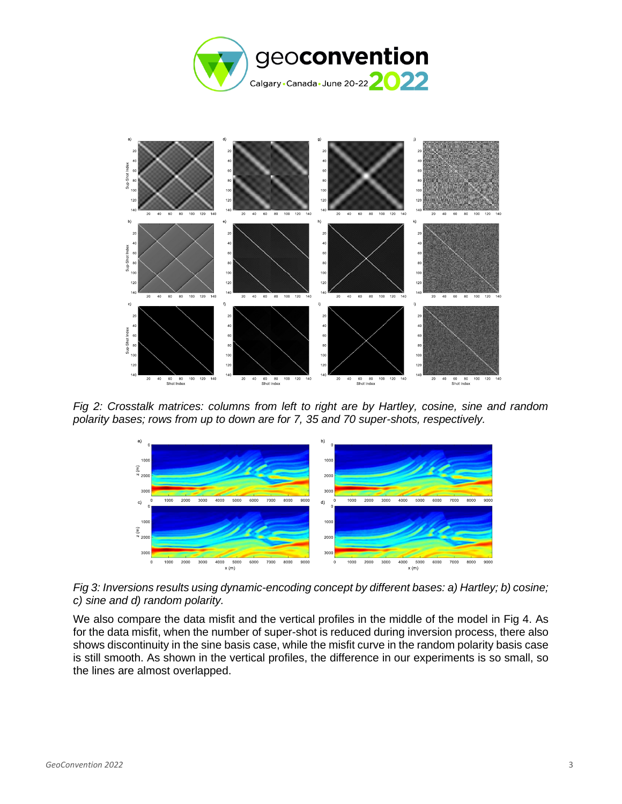



*Fig 2: Crosstalk matrices: columns from left to right are by Hartley, cosine, sine and random polarity bases; rows from up to down are for 7, 35 and 70 super-shots, respectively.*



*Fig 3: Inversions results using dynamic-encoding concept by different bases: a) Hartley; b) cosine; c) sine and d) random polarity.*

We also compare the data misfit and the vertical profiles in the middle of the model in Fig 4. As for the data misfit, when the number of super-shot is reduced during inversion process, there also shows discontinuity in the sine basis case, while the misfit curve in the random polarity basis case is still smooth. As shown in the vertical profiles, the difference in our experiments is so small, so the lines are almost overlapped.